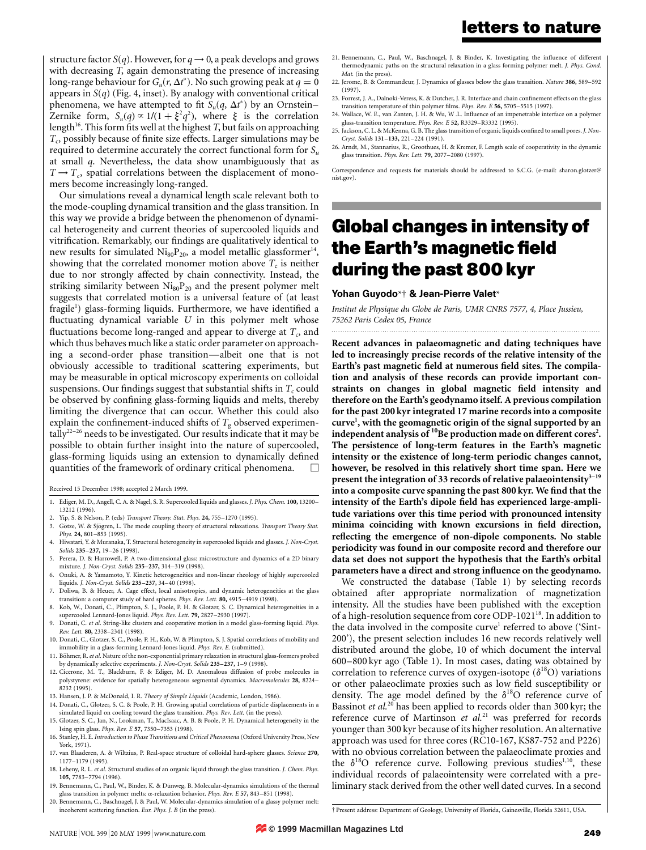structure factor *S*(*q*). However, for  $q \rightarrow 0$ , a peak develops and grows with decreasing *T*, again demonstrating the presence of increasing long-range behaviour for  $G_u(r, \Delta t^*)$ . No such growing peak at  $q = 0$ appears in *S*(*q*) (Fig. 4, inset). By analogy with conventional critical phenomena, we have attempted to fit  $S_u(q, \Delta t^*)$  by an Ornstein– Zernike form,  $S_u(q) \propto 1/(1 + \xi^2 q^2)$ , where  $\xi$  is the correlation length<sup>16</sup>. This form fits well at the highest *T*, but fails on approaching *T<sub>c</sub>*, possibly because of finite size effects. Larger simulations may be required to determine accurately the correct functional form for *Su* at small *q*. Nevertheless, the data show unambiguously that as  $T \rightarrow T_c$ , spatial correlations between the displacement of monomers become increasingly long-ranged.

Our simulations reveal a dynamical length scale relevant both to the mode-coupling dynamical transition and the glass transition. In this way we provide a bridge between the phenomenon of dynamical heterogeneity and current theories of supercooled liquids and vitrification. Remarkably, our findings are qualitatively identical to new results for simulated  $Ni_{80}P_{20}$ , a model metallic glassformer<sup>14</sup>, showing that the correlated monomer motion above  $T_c$  is neither due to nor strongly affected by chain connectivity. Instead, the striking similarity between  $Ni_{80}P_{20}$  and the present polymer melt suggests that correlated motion is a universal feature of (at least fragile<sup>1</sup>) glass-forming liquids. Furthermore, we have identified a fluctuating dynamical variable *U* in this polymer melt whose fluctuations become long-ranged and appear to diverge at  $T_c$ , and which thus behaves much like a static order parameter on approaching a second-order phase transition—albeit one that is not obviously accessible to traditional scattering experiments, but may be measurable in optical microscopy experiments on colloidal suspensions. Our findings suggest that substantial shifts in  $T_c$  could be observed by confining glass-forming liquids and melts, thereby limiting the divergence that can occur. Whether this could also explain the confinement-induced shifts of  $T_g$  observed experimentally<sup>22–26</sup> needs to be investigated. Our results indicate that it may be possible to obtain further insight into the nature of supercooled, glass-forming liquids using an extension to dynamically defined quantities of the framework of ordinary critical phenomena.

Received 15 December 1998; accepted 2 March 1999.

- 1. Ediger, M. D., Angell, C. A. & Nagel, S. R. Supercooled liquids and glasses. *J. Phys. Chem.* **100,** 13200– 13212 (1996).
- 2. Yip, S. & Nelson, P. (eds) *Transport Theory. Stat. Phys.* **24,** 755–1270 (1995).
- 3. Götze, W. & Sjögren, L. The mode coupling theory of structural relaxations. *Transport Theory Stat. Phys.* **24,** 801–853 (1995).
- 4. Hiwatari, Y. & Muranaka, T. Structural heterogeneity in supercooled liquids and glasses. *J. Non-Cryst. Solids* **235–237,** 19–26 (1998).
- 5. Perera, D. & Harrowell, P. A two-dimensional glass: microstructure and dynamics of a 2D binary mixture. *J. Non-Cryst. Solids* **235–237,** 314–319 (1998).
- 6. Onuki, A. & Yamamoto, Y. Kinetic heterogeneities and non-linear rheology of highly supercooled liquids. *J. Non-Cryst. Solids* **235–237,** 34–40 (1998).
- 7. Doliwa, B. & Heuer, A. Cage effect, local anisotropies, and dynamic heterogeneities at the glass transition: a computer study of hard spheres. *Phys. Rev. Lett.* **80,** 4915–4919 (1998).
- 8. Kob, W., Donati, C., Plimpton, S. J., Poole, P. H. & Glotzer, S. C. Dynamical heterogeneities in a supercooled Lennard-Jones liquid. *Phys. Rev. Lett.* **79,** 2827–2930 (1997).
- 9. Donati, C. *et al*. String-like clusters and cooperative motion in a model glass-forming liquid. *Phys. Rev. Lett.* **80,** 2338–2341 (1998).
- 10. Donati, C., Glotzer, S. C., Poole, P. H., Kob, W. & Plimpton, S. J. Spatial correlations of mobility and immobility in a glass-forming Lennard-Jones liquid. *Phys. Rev. E.* (submitted).
- 11. Böhmer, R. et al. Nature of the non-exponential primary relaxation in structural glass-formers probed by dynamically selective experiments. *J. Non-Cryst. Solids* **235–237,** 1–9 (1998).
- 12. Cicerone, M. T., Blackburn, F. & Ediger, M. D. Anomalous diffusion of probe molecules in polystyrene: evidence for spatially heterogeneous segmental dynamics. *Macromolecules* **28,** 8224– 8232 (1995).
- 13. Hansen, J. P. & McDonald, I. R. *Theory of Simple Liquids* (Academic, London, 1986).
- 14. Donati, C., Glotzer, S. C. & Poole, P. H. Growing spatial correlations of particle displacements in a simulated liquid on cooling toward the glass transition. *Phys. Rev. Lett.* (in the press).
- 15. Glotzer, S. C., Jan, N., Lookman, T., MacIsaac, A. B. & Poole, P. H. Dynamical heterogeneity in the Ising spin glass. *Phys. Rev. E* **57,** 7350–7353 (1998).
- 16. Stanley, H. E. *Introduction to Phase Transitions and Critical Phenomena* (Oxford University Press, New York, 1971).
- 17. van Blaaderen, A. & Wiltzius, P. Real-space structure of colloidal hard-sphere glasses. *Science* **270,** 1177–1179 (1995).
- 18. Leheny, R. L. *et al*. Structural studies of an organic liquid through the glass transition. *J. Chem. Phys.* **105,** 7783–7794 (1996).
- 19. Bennemann, C., Paul, W., Binder, K. & Dünweg, B. Molecular-dynamics simulations of the thermal glass transition in polymer melts: a-relaxation behavior. *Phys. Rev. E* **57,** 843–851 (1998).
- 20. Bennemann, C., Baschnagel, J. & Paul, W. Molecular-dynamics simulation of a glassy polymer melt: incoherent scattering function. *Eur. Phys. J. B* (in the press).
- 21. Bennemann, C., Paul, W., Baschnagel, J. & Binder, K. Investigating the influence of different thermodynamic paths on the structural relaxation in a glass forming polymer melt. *J. Phys. Cond. Mat.* (in the press).
- 22. Jerome, B. & Commandeur, J. Dynamics of glasses below the glass transition. *Nature* **386,** 589–592 (1997).
- 23. Forrest, J. A., Dalnoki-Veress, K. & Dutcher, J. R. Interface and chain confinement effects on the glass transition temperature of thin polymer films. *Phys. Rev. E* **56,** 5705–5515 (1997).
- 24. Wallace, W. E., van Zanten, J. H. & Wu, W .L. Influence of an impenetrable interface on a polymer glass-transition temperature. *Phys. Rev. E* **52,** R3329–R3332 (1995).
- 25. Jackson, C. L. & McKenna, G. B. The glass transition of organic liquids confined to small pores. *J. Non-Cryst. Solids* **131–133,** 221–224 (1991).
- 26. Arndt, M., Stannarius, R., Groothues, H. & Kremer, F. Length scale of cooperativity in the dynamic glass transition. *Phys. Rev. Lett.* **79,** 2077–2080 (1997).

Correspondence and requests for materials should be addressed to S.C.G. (e-mail: sharon.glotzer@ nist.gov).

# **Global changes in intensity of the Earth's magnetic field during the past 800 kyr**

#### Yohan Guyodo\*† & Jean-Pierre Valet\*

*Institut de Physique du Globe de Paris, UMR CNRS 7577, 4, Place Jussieu, 75262 Paris Cedex 05, France*

**Recent advances in palaeomagnetic and dating techniques have led to increasingly precise records of the relative intensity of the Earth's past magnetic field at numerous field sites. The compilation and analysis of these records can provide important constraints on changes in global magnetic field intensity and therefore on the Earth's geodynamo itself. A previous compilation for the past 200 kyr integrated 17 marine records into a composite curve1 , with the geomagnetic origin of the signal supported by an** independent analysis of <sup>10</sup>Be production made on different cores<sup>2</sup>. **The persistence of long-term features in the Earth's magnetic intensity or the existence of long-term periodic changes cannot, however, be resolved in this relatively short time span. Here we** present the integration of 33 records of relative palaeointensity<sup>3-19</sup> **into a composite curve spanning the past 800 kyr. We find that the intensity of the Earth's dipole field has experienced large-amplitude variations over this time period with pronounced intensity minima coinciding with known excursions in field direction, reflecting the emergence of non-dipole components. No stable periodicity was found in our composite record and therefore our data set does not support the hypothesis that the Earth's orbital parameters have a direct and strong influence on the geodynamo.**

We constructed the database (Table 1) by selecting records obtained after appropriate normalization of magnetization intensity. All the studies have been published with the exception of a high-resolution sequence from core ODP-1021<sup>18</sup>. In addition to the data involved in the composite curve<sup>1</sup> referred to above ('Sint-200'), the present selection includes 16 new records relatively well distributed around the globe, 10 of which document the interval 600–800 kyr ago (Table 1). In most cases, dating was obtained by correlation to reference curves of oxygen-isotope  $(\delta^{18}O)$  variations or other palaeoclimate proxies such as low field susceptibility or density. The age model defined by the  $\delta^{18}O$  reference curve of Bassinot *et al.*<sup>20</sup> has been applied to records older than 300 kyr; the reference curve of Martinson *et al.*<sup>21</sup> was preferred for records younger than 300 kyr because of its higher resolution. An alternative approach was used for three cores (RC10-167, KS87-752 and P226) with no obvious correlation between the palaeoclimate proxies and the  $\delta^{18}O$  reference curve. Following previous studies<sup>1,10</sup>, these individual records of palaeointensity were correlated with a preliminary stack derived from the other well dated curves. In a second

† Present address: Department of Geology, University of Florida, Gainesville, Florida 32611, USA.

NATURE VOL 399 | 20 MAY 1999 | www.nature.com **249 249 Macmillan Magazines Ltd**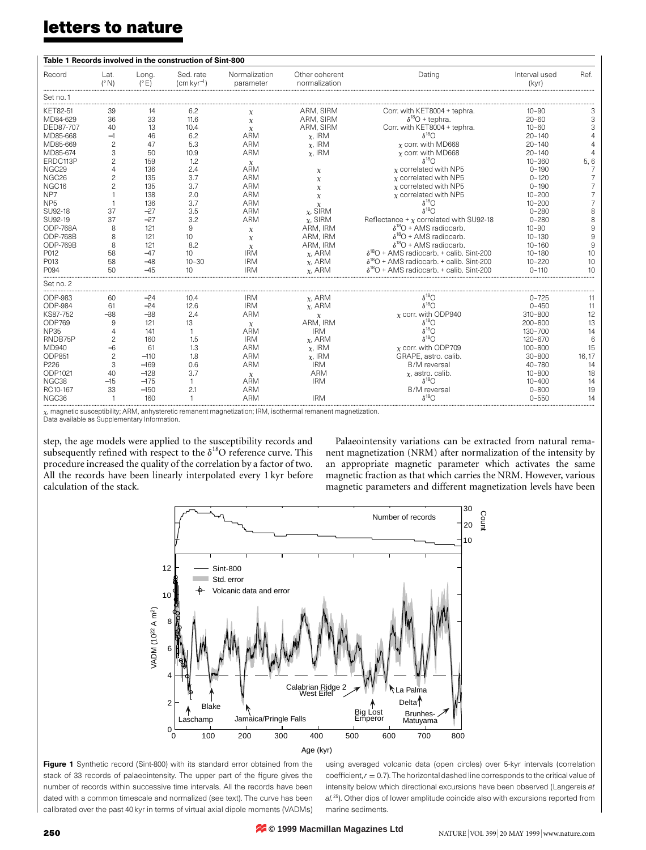## **letters to nature**

| Table 1 Records involved in the construction of Sint-800 |                       |                        |                                           |                            |                                 |                                                                                 |                        |                |
|----------------------------------------------------------|-----------------------|------------------------|-------------------------------------------|----------------------------|---------------------------------|---------------------------------------------------------------------------------|------------------------|----------------|
| Record                                                   | Lat.<br>$(^{\circ}N)$ | Long.<br>$(^{\circ}E)$ | Sed. rate<br>$\text{cm}\,\text{kyr}^{-1}$ | Normalization<br>parameter | Other coherent<br>normalization | Dating                                                                          | Interval used<br>(kyr) | Ref.           |
| Set no.1                                                 |                       |                        |                                           |                            |                                 |                                                                                 |                        |                |
| KET82-51                                                 | 39                    | 14                     | 6.2                                       | $\chi$                     | ARM, SIRM                       | Corr. with KET8004 + tephra.                                                    | $10 - 90$              | Э              |
| MD84-629                                                 | 36                    | 33                     | 11.6                                      | $\chi$                     | ARM, SIRM                       | $\delta^{18}O$ + tephra.                                                        | $20 - 60$              | 3              |
| DFD87-707                                                | 40                    | 13                     | 10.4                                      | $\chi$                     | ARM, SIRM                       | Corr. with KET8004 + tephra.                                                    | $10 - 60$              | 3              |
| MD85-668                                                 | $-1$                  | 46                     | 6.2                                       | <b>ARM</b>                 | $x$ , IRM                       | $\delta^{18}$ O                                                                 | $20 - 140$             |                |
| MD85-669                                                 | $\overline{c}$        | 47                     | 5.3                                       | <b>ARM</b>                 | $x$ , IRM                       | $x$ corr, with MD668                                                            | $20 - 140$             |                |
| MD85-674                                                 | 3                     | 50                     | 10.9                                      | <b>ARM</b>                 | $x$ , IRM                       | $x$ corr, with MD668                                                            | $20 - 140$             |                |
| ERDC113P                                                 | $\overline{c}$        | 159                    | 1.2                                       | $\chi$                     |                                 | $\delta^{18}$ O                                                                 | $10 - 360$             | 5,6            |
| NGC <sub>29</sub>                                        | $\overline{4}$        | 136                    | 2.4                                       | <b>ARM</b>                 | $\chi$                          | $x$ correlated with NP5                                                         | $0 - 190$              | 7              |
| NGC <sub>26</sub>                                        | $\overline{c}$        | 135                    | 3.7                                       | <b>ARM</b>                 | $\chi$                          | $x$ correlated with NP5                                                         | $0 - 120$              |                |
| NGC <sub>16</sub>                                        | $\overline{c}$        | 135                    | 3.7                                       | <b>ARM</b>                 |                                 | $x$ correlated with NP5                                                         | $0 - 190$              |                |
| NP7                                                      |                       | 138                    | 2.0                                       | <b>ARM</b>                 | $\chi$                          | $x$ correlated with NP5                                                         | $10 - 200$             | $\overline{7}$ |
| NP <sub>5</sub>                                          |                       | 136                    | 3.7                                       | <b>ARM</b>                 | $\chi$                          | $\delta^{18}$ O                                                                 | $10 - 200$             | $\overline{7}$ |
| SU92-18                                                  | 37                    | $-27$                  | 3.5                                       | <b>ARM</b>                 | $\chi$                          | $\delta^{18}$ O                                                                 | $0 - 280$              | 8              |
|                                                          | 37                    | $-27$                  |                                           |                            | $x$ , SIRM                      |                                                                                 |                        |                |
| SU92-19<br>ODP-768A                                      |                       |                        | 3.2                                       | <b>ARM</b>                 | $x$ , SIRM                      | Reflectance + $\chi$ correlated with SU92-18<br>$\delta^{18}O$ + AMS radiocarb. | $0 - 280$              | 8<br>9         |
|                                                          | 8                     | 121                    | 9                                         | $\chi$                     | ARM, IRM                        |                                                                                 | $10 - 90$              |                |
| <b>ODP-768B</b>                                          | 8                     | 121                    | 10                                        | $\chi$                     | ARM. IRM                        | $\delta^{18}O$ + AMS radiocarb.                                                 | $10 - 130$             | 9              |
| ODP-769B                                                 | 8                     | 121                    | 8.2                                       | $\chi$                     | ARM, IRM                        | $\delta^{18}O$ + AMS radiocarb.                                                 | $10 - 160$             | 9              |
| P012                                                     | 58                    | $-47$                  | 10                                        | <b>IRM</b>                 | $x$ . ARM                       | $\delta^{18}O$ + AMS radiocarb. + calib. Sint-200                               | $10 - 180$             | 10             |
| P013                                                     | 58                    | $-48$                  | $10 - 30$                                 | <b>IRM</b>                 | $x$ , ARM                       | $\delta^{18}O$ + AMS radiocarb. + calib. Sint-200                               | $10 - 220$             | 10             |
| P094                                                     | 50                    | $-45$                  | 10                                        | <b>IRM</b>                 | $x$ , ARM                       | $\delta^{18}O$ + AMS radiocarb. + calib. Sint-200                               | $0 - 110$              | 10             |
| Set no. 2                                                |                       |                        |                                           |                            |                                 |                                                                                 |                        |                |
| ODP-983                                                  | 60                    | $-24$                  | 10.4                                      | <b>IRM</b>                 | $x$ , ARM                       | $\delta^{18}$ O                                                                 | $0 - 725$              | 11             |
| <b>ODP-984</b>                                           | 61                    | $-24$                  | 12.6                                      | <b>IRM</b>                 | $x$ , ARM                       | $\delta^{18}$ O                                                                 | $0 - 450$              | 11             |
| KS87-752                                                 | $-38$                 | $-38$                  | 2.4                                       | <b>ARM</b>                 | $\chi$                          | $x$ corr. with ODP940                                                           | $310 - 800$            | 12             |
| ODP769                                                   | 9                     | 121                    | 13                                        | $\chi$                     | ARM. IRM                        | $\delta^{18}$ O                                                                 | 200-800                | 13             |
| <b>NP35</b>                                              | $\Delta$              | 141                    | $\overline{1}$                            | <b>ARM</b>                 | <b>IRM</b>                      | $\delta^{18}$ O                                                                 | $130 - 700$            | 14             |
| RNDB75P                                                  | $\overline{c}$        | 160                    | 1.5                                       | <b>IRM</b>                 | $x$ , ARM                       | $\delta^{18}$ O                                                                 | $120 - 670$            | 6              |
| MD940                                                    | $-6$                  | 61                     | 1.3                                       | <b>ARM</b>                 | $x$ , IRM                       | $x$ corr. with ODP709                                                           | $100 - 800$            | 15             |
| ODP851                                                   | $\overline{c}$        | $-110$                 | 1.8                                       | <b>ARM</b>                 | $x$ , IRM                       | GRAPE, astro. calib.                                                            | $30 - 800$             | 16, 17         |
| P226                                                     | 3                     | $-169$                 | 0.6                                       | <b>ARM</b>                 | <b>IRM</b>                      | <b>B/M</b> reversal                                                             | $40 - 780$             | 14             |
| ODP1021                                                  | 40                    | $-128$                 | 3.7                                       | $\chi$                     | <b>ARM</b>                      | $x$ , astro. calib.                                                             | $10 - 800$             | 18             |
| NGC38                                                    | $-15$                 | $-175$                 | $\mathbf{1}$                              | <b>ARM</b>                 | <b>IRM</b>                      | $\delta^{18}O$                                                                  | $10 - 400$             | 14             |
| RC10-167                                                 | 33                    | $-150$                 | 2.1                                       | ARM                        |                                 | B/M reversal                                                                    | $0 - 800$              | 19             |
| NGC <sub>36</sub>                                        |                       | 160                    |                                           | <b>ARM</b>                 | <b>IRM</b>                      | $\delta^{18}$                                                                   | $0 - 550$              | 14             |
|                                                          |                       |                        |                                           |                            |                                 |                                                                                 |                        |                |

 $_\text{\text{\tiny{X}}}$ , magnetic susceptibility; ARM, anhysteretic remanent magnetization; IRM, isothermal remanent magnetization.

Data available as Supplementary Information.

step, the age models were applied to the susceptibility records and subsequently refined with respect to the  $\delta^{18}O$  reference curve. This procedure increased the quality of the correlation by a factor of two. All the records have been linearly interpolated every 1 kyr before calculation of the stack.

Palaeointensity variations can be extracted from natural remanent magnetization (NRM) after normalization of the intensity by an appropriate magnetic parameter which activates the same magnetic fraction as that which carries the NRM. However, various magnetic parameters and different magnetization levels have been





Figure 1 Synthetic record (Sint-800) with its standard error obtained from the stack of 33 records of palaeointensity. The upper part of the figure gives the number of records within successive time intervals. All the records have been dated with a common timescale and normalized (see text). The curve has been calibrated over the past 40 kyr in terms of virtual axial dipole moments (VADMs) using averaged volcanic data (open circles) over 5-kyr intervals (correlation coefficient, $r = 0.7$ ). The horizontal dashed line corresponds to the critical value of intensity below which directional excursions have been observed (Langereis *et al.*25). Other dips of lower amplitude coincide also with excursions reported from marine sediments.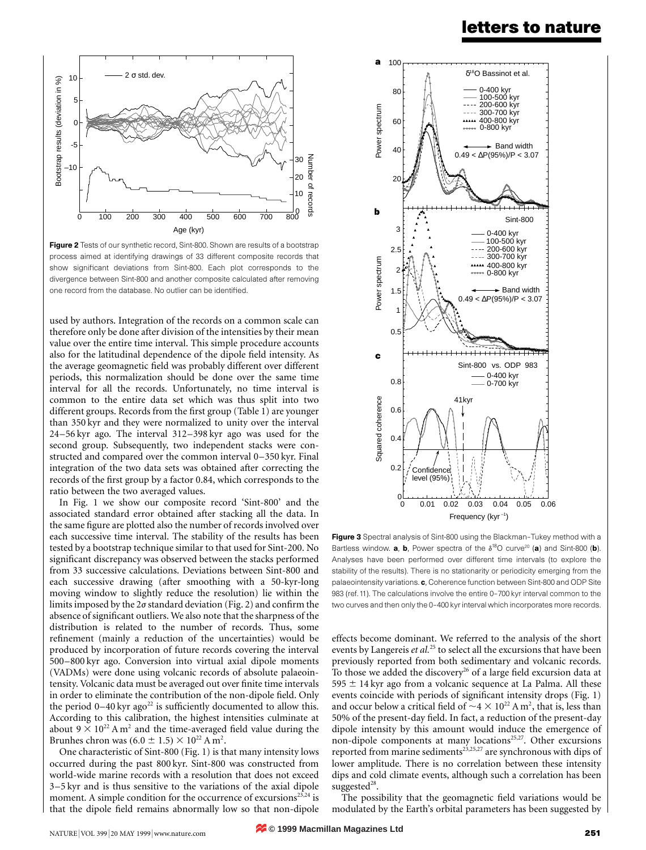### **letters to nature**



**Figure 2** Tests of our synthetic record, Sint-800. Shown are results of a bootstrap process aimed at identifying drawings of 33 different composite records that show significant deviations from Sint-800. Each plot corresponds to the divergence between Sint-800 and another composite calculated after removing one record from the database. No outlier can be identified.

used by authors. Integration of the records on a common scale can therefore only be done after division of the intensities by their mean value over the entire time interval. This simple procedure accounts also for the latitudinal dependence of the dipole field intensity. As the average geomagnetic field was probably different over different periods, this normalization should be done over the same time interval for all the records. Unfortunately, no time interval is common to the entire data set which was thus split into two different groups. Records from the first group (Table 1) are younger than 350 kyr and they were normalized to unity over the interval 24–56 kyr ago. The interval 312–398 kyr ago was used for the second group. Subsequently, two independent stacks were constructed and compared over the common interval 0–350 kyr. Final integration of the two data sets was obtained after correcting the records of the first group by a factor 0.84, which corresponds to the ratio between the two averaged values.

In Fig. 1 we show our composite record 'Sint-800' and the associated standard error obtained after stacking all the data. In the same figure are plotted also the number of records involved over each successive time interval. The stability of the results has been tested by a bootstrap technique similar to that used for Sint-200. No significant discrepancy was observed between the stacks performed from 33 successive calculations. Deviations between Sint-800 and each successive drawing (after smoothing with a 50-kyr-long moving window to slightly reduce the resolution) lie within the limits imposed by the  $2\sigma$  standard deviation (Fig. 2) and confirm the absence of significant outliers. We also note that the sharpness of the distribution is related to the number of records. Thus, some refinement (mainly a reduction of the uncertainties) would be produced by incorporation of future records covering the interval 500–800 kyr ago. Conversion into virtual axial dipole moments (VADMs) were done using volcanic records of absolute palaeointensity. Volcanic data must be averaged out over finite time intervals in order to eliminate the contribution of the non-dipole field. Only the period  $0-40$  kyr ago<sup>22</sup> is sufficiently documented to allow this. According to this calibration, the highest intensities culminate at about  $9 \times 10^{22}$  A m<sup>2</sup> and the time-averaged field value during the Brunhes chron was  $(6.0 \pm 1.5) \times 10^{22}$  A m<sup>2</sup>.

One characteristic of Sint-800 (Fig. 1) is that many intensity lows occurred during the past 800 kyr. Sint-800 was constructed from world-wide marine records with a resolution that does not exceed 3–5 kyr and is thus sensitive to the variations of the axial dipole moment. A simple condition for the occurrence of excursions $^{23,24}$  is that the dipole field remains abnormally low so that non-dipole



Figure 3 Spectral analysis of Sint-800 using the Blackman-Tukey method with a Bartless window. **a, b,** Power spectra of the  $\delta^{18}O$  curve<sup>20</sup> (a) and Sint-800 (b). Analyses have been performed over different time intervals (to explore the stability of the results). There is no stationarity or periodicity emerging from the palaeointensity variations. c, Coherence function between Sint-800 and ODP Site 983 (ref. 11). The calculations involve the entire 0–700 kyr interval common to the two curves and then only the 0–400 kyr interval which incorporates more records.

effects become dominant. We referred to the analysis of the short events by Langereis *et al.*<sup>25</sup> to select all the excursions that have been previously reported from both sedimentary and volcanic records. To those we added the discovery<sup>26</sup> of a large field excursion data at 595  $\pm$  14 kyr ago from a volcanic sequence at La Palma. All these events coincide with periods of significant intensity drops (Fig. 1) and occur below a critical field of  $\sim$ 4  $\times$  10<sup>22</sup> A m<sup>2</sup>, that is, less than 50% of the present-day field. In fact, a reduction of the present-day dipole intensity by this amount would induce the emergence of non-dipole components at many locations<sup>25,27</sup>. Other excursions reported from marine sediments<sup>23,25,27</sup> are synchronous with dips of lower amplitude. There is no correlation between these intensity dips and cold climate events, although such a correlation has been suggested $28$ .

The possibility that the geomagnetic field variations would be modulated by the Earth's orbital parameters has been suggested by